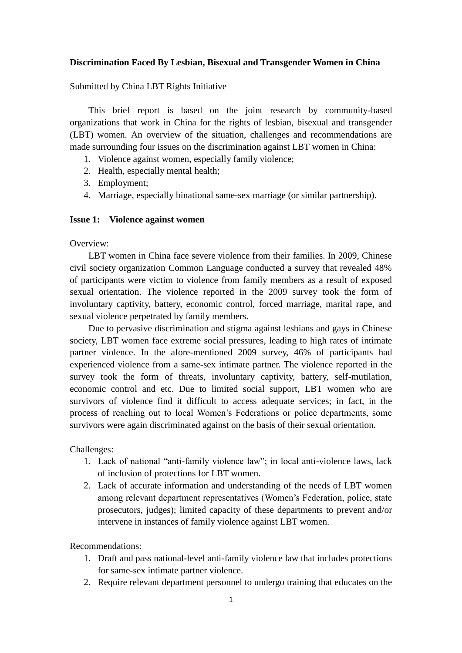#### **Discrimination Faced By Lesbian, Bisexual and Transgender Women in China**

Submitted by China LBT Rights Initiative

This brief report is based on the joint research by community-based organizations that work in China for the rights of lesbian, bisexual and transgender (LBT) women. An overview of the situation, challenges and recommendations are made surrounding four issues on the discrimination against LBT women in China:

- 1. Violence against women, especially family violence;
- 2. Health, especially mental health;
- 3. Employment;
- 4. Marriage, especially binational same-sex marriage (or similar partnership).

#### **Issue 1: Violence against women**

Overview:

LBT women in China face severe violence from their families. In 2009, Chinese civil society organization Common Language conducted a survey that revealed 48% of participants were victim to violence from family members as a result of exposed sexual orientation. The violence reported in the 2009 survey took the form of involuntary captivity, battery, economic control, forced marriage, marital rape, and sexual violence perpetrated by family members.

Due to pervasive discrimination and stigma against lesbians and gays in Chinese society, LBT women face extreme social pressures, leading to high rates of intimate partner violence. In the afore-mentioned 2009 survey, 46% of participants had experienced violence from a same-sex intimate partner. The violence reported in the survey took the form of threats, involuntary captivity, battery, self-mutilation, economic control and etc. Due to limited social support, LBT women who are survivors of violence find it difficult to access adequate services; in fact, in the process of reaching out to local Women's Federations or police departments, some survivors were again discriminated against on the basis of their sexual orientation.

Challenges:

- 1. Lack of national "anti-family violence law"; in local anti-violence laws, lack of inclusion of protections for LBT women.
- 2. Lack of accurate information and understanding of the needs of LBT women among relevant department representatives (Women's Federation, police, state prosecutors, judges); limited capacity of these departments to prevent and/or intervene in instances of family violence against LBT women.

Recommendations:

- 1. Draft and pass national-level anti-family violence law that includes protections for same-sex intimate partner violence.
- 2. Require relevant department personnel to undergo training that educates on the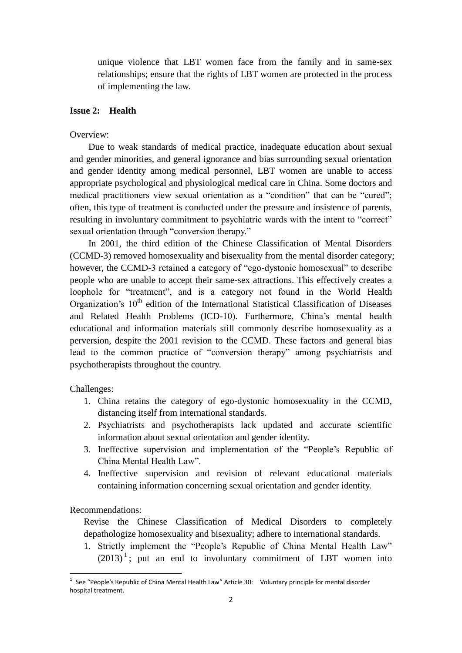unique violence that LBT women face from the family and in same-sex relationships; ensure that the rights of LBT women are protected in the process of implementing the law.

### **Issue 2: Health**

### Overview:

Due to weak standards of medical practice, inadequate education about sexual and gender minorities, and general ignorance and bias surrounding sexual orientation and gender identity among medical personnel, LBT women are unable to access appropriate psychological and physiological medical care in China. Some doctors and medical practitioners view sexual orientation as a "condition" that can be "cured"; often, this type of treatment is conducted under the pressure and insistence of parents, resulting in involuntary commitment to psychiatric wards with the intent to "correct" sexual orientation through "conversion therapy."

In 2001, the third edition of the Chinese Classification of Mental Disorders (CCMD-3) removed homosexuality and bisexuality from the mental disorder category; however, the CCMD-3 retained a category of "ego-dystonic homosexual" to describe people who are unable to accept their same-sex attractions. This effectively creates a loophole for "treatment", and is a category not found in the World Health Organization's  $10<sup>th</sup>$  edition of the International Statistical Classification of Diseases and Related Health Problems (ICD-10). Furthermore, China's mental health educational and information materials still commonly describe homosexuality as a perversion, despite the 2001 revision to the CCMD. These factors and general bias lead to the common practice of "conversion therapy" among psychiatrists and psychotherapists throughout the country.

Challenges:

- 1. China retains the category of ego-dystonic homosexuality in the CCMD, distancing itself from international standards.
- 2. Psychiatrists and psychotherapists lack updated and accurate scientific information about sexual orientation and gender identity.
- 3. Ineffective supervision and implementation of the "People's Republic of China Mental Health Law".
- 4. Ineffective supervision and revision of relevant educational materials containing information concerning sexual orientation and gender identity.

Recommendations:

**.** 

Revise the Chinese Classification of Medical Disorders to completely depathologize homosexuality and bisexuality; adhere to international standards.

1. Strictly implement the "People's Republic of China Mental Health Law"  $(2013)^1$ ; put an end to involuntary commitment of LBT women into

<sup>&</sup>lt;sup>1</sup> See "People's Republic of China Mental Health Law" Article 30: Voluntary principle for mental disorder hospital treatment.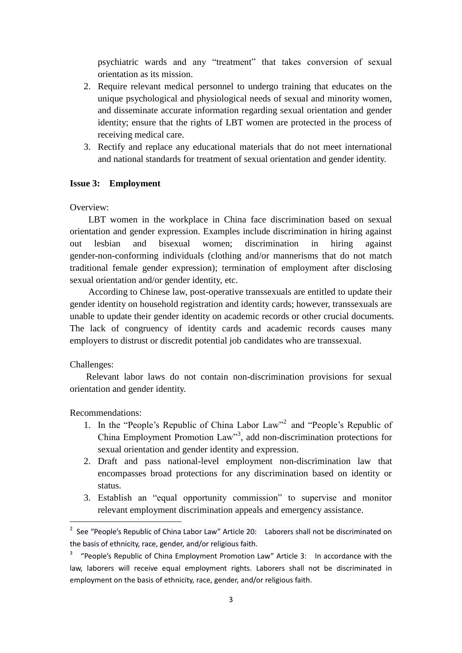psychiatric wards and any "treatment" that takes conversion of sexual orientation as its mission.

- 2. Require relevant medical personnel to undergo training that educates on the unique psychological and physiological needs of sexual and minority women, and disseminate accurate information regarding sexual orientation and gender identity; ensure that the rights of LBT women are protected in the process of receiving medical care.
- 3. Rectify and replace any educational materials that do not meet international and national standards for treatment of sexual orientation and gender identity.

## **Issue 3: Employment**

Overview:

LBT women in the workplace in China face discrimination based on sexual orientation and gender expression. Examples include discrimination in hiring against out lesbian and bisexual women; discrimination in hiring against gender-non-conforming individuals (clothing and/or mannerisms that do not match traditional female gender expression); termination of employment after disclosing sexual orientation and/or gender identity, etc.

According to Chinese law, post-operative transsexuals are entitled to update their gender identity on household registration and identity cards; however, transsexuals are unable to update their gender identity on academic records or other crucial documents. The lack of congruency of identity cards and academic records causes many employers to distrust or discredit potential job candidates who are transsexual.

#### Challenges:

-

Relevant labor laws do not contain non-discrimination provisions for sexual orientation and gender identity.

Recommendations:

- 1. In the "People's Republic of China Labor Law"<sup>2</sup> and "People's Republic of China Employment Promotion Law"<sup>3</sup> , add non-discrimination protections for sexual orientation and gender identity and expression.
- 2. Draft and pass national-level employment non-discrimination law that encompasses broad protections for any discrimination based on identity or status.
- 3. Establish an "equal opportunity commission" to supervise and monitor relevant employment discrimination appeals and emergency assistance.

 $2$  See "People's Republic of China Labor Law" Article 20: Laborers shall not be discriminated on the basis of ethnicity, race, gender, and/or religious faith.

<sup>3</sup> "People's Republic of China Employment Promotion Law" Article 3: In accordance with the law, laborers will receive equal employment rights. Laborers shall not be discriminated in employment on the basis of ethnicity, race, gender, and/or religious faith.